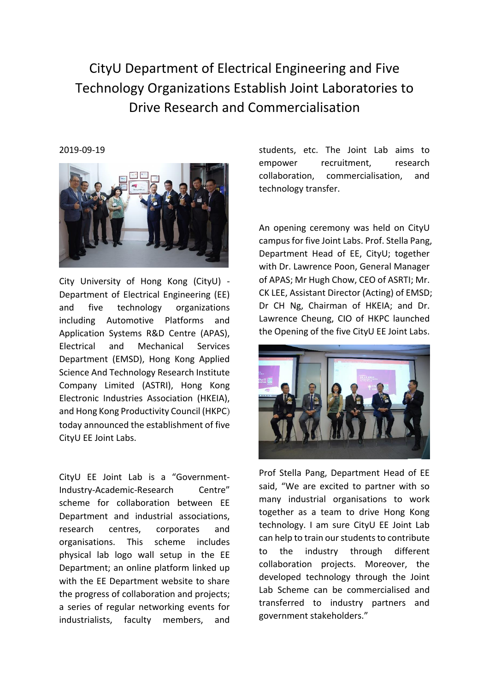CityU Department of Electrical Engineering and Five Technology Organizations Establish Joint Laboratories to Drive Research and Commercialisation

## 2019-09-19



City University of Hong Kong (CityU) - Department of Electrical Engineering (EE) and five technology organizations including Automotive Platforms and Application Systems R&D Centre (APAS), Electrical and Mechanical Services Department (EMSD), Hong Kong Applied Science And Technology Research Institute Company Limited (ASTRI), Hong Kong Electronic Industries Association (HKEIA), and Hong Kong Productivity Council (HKPC) today announced the establishment of five CityU EE Joint Labs.

CityU EE Joint Lab is a "Government-Industry-Academic-Research Centre" scheme for collaboration between EE Department and industrial associations, research centres, corporates and organisations. This scheme includes physical lab logo wall setup in the EE Department; an online platform linked up with the EE Department website to share the progress of collaboration and projects; a series of regular networking events for industrialists, faculty members, and

students, etc. The Joint Lab aims to empower recruitment, research collaboration, commercialisation, and technology transfer.

An opening ceremony was held on CityU campus for five Joint Labs. Prof. Stella Pang, Department Head of EE, CityU; together with Dr. Lawrence Poon, General Manager of APAS; Mr Hugh Chow, CEO of ASRTI; Mr. CK LEE, Assistant Director (Acting) of EMSD; Dr CH Ng, Chairman of HKEIA; and Dr. Lawrence Cheung, CIO of HKPC launched the Opening of the five CityU EE Joint Labs.



Prof Stella Pang, Department Head of EE said, "We are excited to partner with so many industrial organisations to work together as a team to drive Hong Kong technology. I am sure CityU EE Joint Lab can help to train our students to contribute to the industry through different collaboration projects. Moreover, the developed technology through the Joint Lab Scheme can be commercialised and transferred to industry partners and government stakeholders."